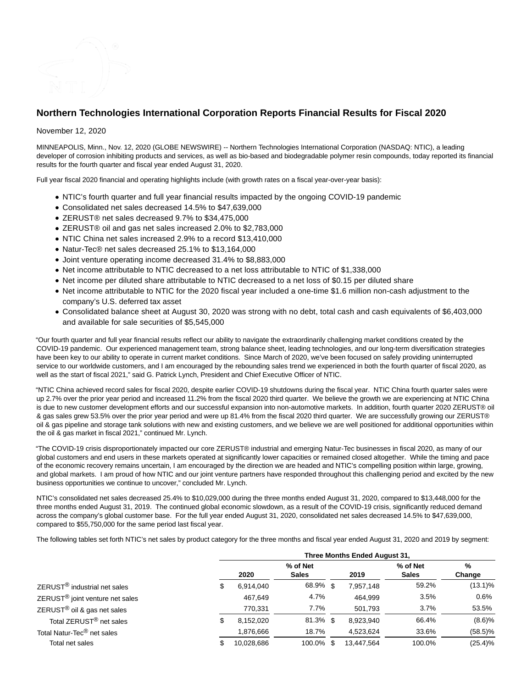

# **Northern Technologies International Corporation Reports Financial Results for Fiscal 2020**

## November 12, 2020

MINNEAPOLIS, Minn., Nov. 12, 2020 (GLOBE NEWSWIRE) -- Northern Technologies International Corporation (NASDAQ: NTIC), a leading developer of corrosion inhibiting products and services, as well as bio-based and biodegradable polymer resin compounds, today reported its financial results for the fourth quarter and fiscal year ended August 31, 2020.

Full year fiscal 2020 financial and operating highlights include (with growth rates on a fiscal year-over-year basis):

- NTIC's fourth quarter and full year financial results impacted by the ongoing COVID-19 pandemic
- Consolidated net sales decreased 14.5% to \$47,639,000
- ZERUST® net sales decreased 9.7% to \$34,475,000
- ZERUST® oil and gas net sales increased 2.0% to \$2,783,000
- NTIC China net sales increased 2.9% to a record \$13,410,000
- Natur-Tec® net sales decreased 25.1% to \$13,164,000
- Joint venture operating income decreased 31.4% to \$8,883,000
- Net income attributable to NTIC decreased to a net loss attributable to NTIC of \$1,338,000
- Net income per diluted share attributable to NTIC decreased to a net loss of \$0.15 per diluted share
- Net income attributable to NTIC for the 2020 fiscal year included a one-time \$1.6 million non-cash adjustment to the company's U.S. deferred tax asset
- Consolidated balance sheet at August 30, 2020 was strong with no debt, total cash and cash equivalents of \$6,403,000 and available for sale securities of \$5,545,000

"Our fourth quarter and full year financial results reflect our ability to navigate the extraordinarily challenging market conditions created by the COVID-19 pandemic. Our experienced management team, strong balance sheet, leading technologies, and our long-term diversification strategies have been key to our ability to operate in current market conditions. Since March of 2020, we've been focused on safely providing uninterrupted service to our worldwide customers, and I am encouraged by the rebounding sales trend we experienced in both the fourth quarter of fiscal 2020, as well as the start of fiscal 2021," said G. Patrick Lynch, President and Chief Executive Officer of NTIC.

"NTIC China achieved record sales for fiscal 2020, despite earlier COVID-19 shutdowns during the fiscal year. NTIC China fourth quarter sales were up 2.7% over the prior year period and increased 11.2% from the fiscal 2020 third quarter. We believe the growth we are experiencing at NTIC China is due to new customer development efforts and our successful expansion into non-automotive markets. In addition, fourth quarter 2020 ZERUST® oil & gas sales grew 53.5% over the prior year period and were up 81.4% from the fiscal 2020 third quarter. We are successfully growing our ZERUST® oil & gas pipeline and storage tank solutions with new and existing customers, and we believe we are well positioned for additional opportunities within the oil & gas market in fiscal 2021," continued Mr. Lynch.

"The COVID-19 crisis disproportionately impacted our core ZERUST® industrial and emerging Natur-Tec businesses in fiscal 2020, as many of our global customers and end users in these markets operated at significantly lower capacities or remained closed altogether. While the timing and pace of the economic recovery remains uncertain, I am encouraged by the direction we are headed and NTIC's compelling position within large, growing, and global markets. I am proud of how NTIC and our joint venture partners have responded throughout this challenging period and excited by the new business opportunities we continue to uncover," concluded Mr. Lynch.

NTIC's consolidated net sales decreased 25.4% to \$10,029,000 during the three months ended August 31, 2020, compared to \$13,448,000 for the three months ended August 31, 2019. The continued global economic slowdown, as a result of the COVID-19 crisis, significantly reduced demand across the company's global customer base. For the full year ended August 31, 2020, consolidated net sales decreased 14.5% to \$47,639,000, compared to \$55,750,000 for the same period last fiscal year.

The following tables set forth NTIC's net sales by product category for the three months and fiscal year ended August 31, 2020 and 2019 by segment:

|                                             | Three Months Ended August 31, |            |                          |     |            |                          |             |  |
|---------------------------------------------|-------------------------------|------------|--------------------------|-----|------------|--------------------------|-------------|--|
|                                             |                               | 2020       | % of Net<br><b>Sales</b> |     | 2019       | % of Net<br><b>Sales</b> | %<br>Change |  |
| ZERUST <sup>®</sup> industrial net sales    | \$                            | 6,914,040  | 68.9% \$                 |     | 7,957,148  | 59.2%                    | $(13.1)\%$  |  |
| ZERUST <sup>®</sup> joint venture net sales |                               | 467,649    | 4.7%                     |     | 464.999    | 3.5%                     | 0.6%        |  |
| ZERUST <sup>®</sup> oil & gas net sales     |                               | 770,331    | 7.7%                     |     | 501,793    | 3.7%                     | 53.5%       |  |
| Total ZERUST <sup>®</sup> net sales         | \$                            | 8,152,020  | $81.3\%$ \$              |     | 8,923,940  | 66.4%                    | (8.6)%      |  |
| Total Natur-Tec® net sales                  |                               | 1,876,666  | 18.7%                    |     | 4,523,624  | 33.6%                    | $(58.5)\%$  |  |
| Total net sales                             | \$                            | 10,028,686 | 100.0%                   | \$. | 13,447,564 | 100.0%                   | (25.4)%     |  |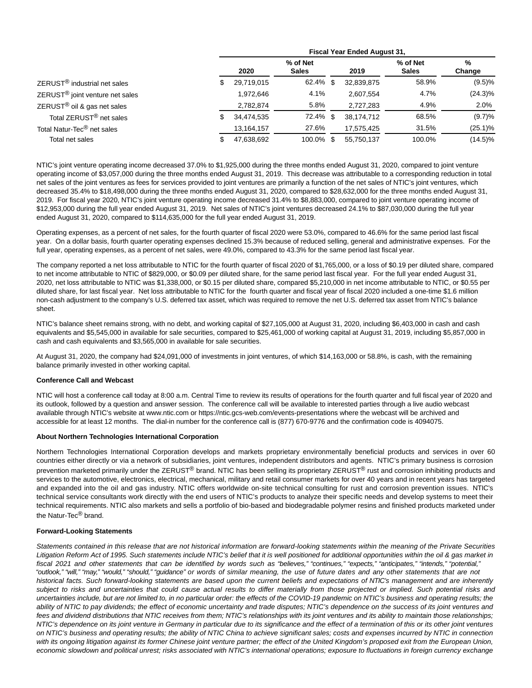|                                             | <b>Fiscal Year Ended August 31,</b> |            |                          |    |            |                          |             |  |
|---------------------------------------------|-------------------------------------|------------|--------------------------|----|------------|--------------------------|-------------|--|
|                                             |                                     | 2020       | % of Net<br><b>Sales</b> |    | 2019       | % of Net<br><b>Sales</b> | %<br>Change |  |
| ZERUST <sup>®</sup> industrial net sales    | \$                                  | 29,719,015 | 62.4%                    | \$ | 32,839,875 | 58.9%                    | (9.5)%      |  |
| ZERUST <sup>®</sup> joint venture net sales |                                     | 1,972,646  | 4.1%                     |    | 2,607,554  | 4.7%                     | $(24.3)\%$  |  |
| ZERUST <sup>®</sup> oil & gas net sales     |                                     | 2,782,874  | 5.8%                     |    | 2,727,283  | 4.9%                     | 2.0%        |  |
| Total ZERUST <sup>®</sup> net sales         |                                     | 34,474,535 | 72.4%                    | \$ | 38,174,712 | 68.5%                    | (9.7)%      |  |
| Total Natur-Tec <sup>®</sup> net sales      |                                     | 13,164,157 | 27.6%                    |    | 17,575,425 | 31.5%                    | $(25.1)\%$  |  |
| Total net sales                             | \$                                  | 47,638,692 | 100.0%                   |    | 55,750,137 | 100.0%                   | (14.5)%     |  |

NTIC's joint venture operating income decreased 37.0% to \$1,925,000 during the three months ended August 31, 2020, compared to joint venture operating income of \$3,057,000 during the three months ended August 31, 2019. This decrease was attributable to a corresponding reduction in total net sales of the joint ventures as fees for services provided to joint ventures are primarily a function of the net sales of NTIC's joint ventures, which decreased 35.4% to \$18,498,000 during the three months ended August 31, 2020, compared to \$28,632,000 for the three months ended August 31, 2019. For fiscal year 2020, NTIC's joint venture operating income decreased 31.4% to \$8,883,000, compared to joint venture operating income of \$12,953,000 during the full year ended August 31, 2019. Net sales of NTIC's joint ventures decreased 24.1% to \$87,030,000 during the full year ended August 31, 2020, compared to \$114,635,000 for the full year ended August 31, 2019.

Operating expenses, as a percent of net sales, for the fourth quarter of fiscal 2020 were 53.0%, compared to 46.6% for the same period last fiscal year. On a dollar basis, fourth quarter operating expenses declined 15.3% because of reduced selling, general and administrative expenses. For the full year, operating expenses, as a percent of net sales, were 49.0%, compared to 43.3% for the same period last fiscal year.

The company reported a net loss attributable to NTIC for the fourth quarter of fiscal 2020 of \$1,765,000, or a loss of \$0.19 per diluted share, compared to net income attributable to NTIC of \$829,000, or \$0.09 per diluted share, for the same period last fiscal year. For the full year ended August 31, 2020, net loss attributable to NTIC was \$1,338,000, or \$0.15 per diluted share, compared \$5,210,000 in net income attributable to NTIC, or \$0.55 per diluted share, for last fiscal year. Net loss attributable to NTIC for the fourth quarter and fiscal year of fiscal 2020 included a one-time \$1.6 million non-cash adjustment to the company's U.S. deferred tax asset, which was required to remove the net U.S. deferred tax asset from NTIC's balance sheet.

NTIC's balance sheet remains strong, with no debt, and working capital of \$27,105,000 at August 31, 2020, including \$6,403,000 in cash and cash equivalents and \$5,545,000 in available for sale securities, compared to \$25,461,000 of working capital at August 31, 2019, including \$5,857,000 in cash and cash equivalents and \$3,565,000 in available for sale securities.

At August 31, 2020, the company had \$24,091,000 of investments in joint ventures, of which \$14,163,000 or 58.8%, is cash, with the remaining balance primarily invested in other working capital.

### **Conference Call and Webcast**

NTIC will host a conference call today at 8:00 a.m. Central Time to review its results of operations for the fourth quarter and full fiscal year of 2020 and its outlook, followed by a question and answer session. The conference call will be available to interested parties through a live audio webcast available through NTIC's website at www.ntic.com or https://ntic.gcs-web.com/events-presentations where the webcast will be archived and accessible for at least 12 months. The dial-in number for the conference call is (877) 670-9776 and the confirmation code is 4094075.

#### **About Northern Technologies International Corporation**

Northern Technologies International Corporation develops and markets proprietary environmentally beneficial products and services in over 60 countries either directly or via a network of subsidiaries, joint ventures, independent distributors and agents. NTIC's primary business is corrosion prevention marketed primarily under the ZERUST<sup>®</sup> brand. NTIC has been selling its proprietary ZERUST<sup>®</sup> rust and corrosion inhibiting products and services to the automotive, electronics, electrical, mechanical, military and retail consumer markets for over 40 years and in recent years has targeted and expanded into the oil and gas industry. NTIC offers worldwide on-site technical consulting for rust and corrosion prevention issues. NTIC's technical service consultants work directly with the end users of NTIC's products to analyze their specific needs and develop systems to meet their technical requirements. NTIC also markets and sells a portfolio of bio-based and biodegradable polymer resins and finished products marketed under the Natur-Tec® brand.

#### **Forward-Looking Statements**

Statements contained in this release that are not historical information are forward-looking statements within the meaning of the Private Securities Litigation Reform Act of 1995. Such statements include NTIC's belief that it is well positioned for additional opportunities within the oil & gas market in fiscal 2021 and other statements that can be identified by words such as "believes," "continues," "expects," "anticipates," "intends," "potential," "outlook," "will," "may," "would," "should," "guidance" or words of similar meaning, the use of future dates and any other statements that are not historical facts. Such forward-looking statements are based upon the current beliefs and expectations of NTIC's management and are inherently subject to risks and uncertainties that could cause actual results to differ materially from those projected or implied. Such potential risks and uncertainties include, but are not limited to, in no particular order: the effects of the COVID-19 pandemic on NTIC's business and operating results; the ability of NTIC to pay dividends; the effect of economic uncertainty and trade disputes; NTIC's dependence on the success of its joint ventures and fees and dividend distributions that NTIC receives from them; NTIC's relationships with its joint ventures and its ability to maintain those relationships; NTIC's dependence on its joint venture in Germany in particular due to its significance and the effect of a termination of this or its other joint ventures on NTIC's business and operating results; the ability of NTIC China to achieve significant sales; costs and expenses incurred by NTIC in connection with its ongoing litigation against its former Chinese joint venture partner; the effect of the United Kingdom's proposed exit from the European Union, economic slowdown and political unrest; risks associated with NTIC's international operations; exposure to fluctuations in foreign currency exchange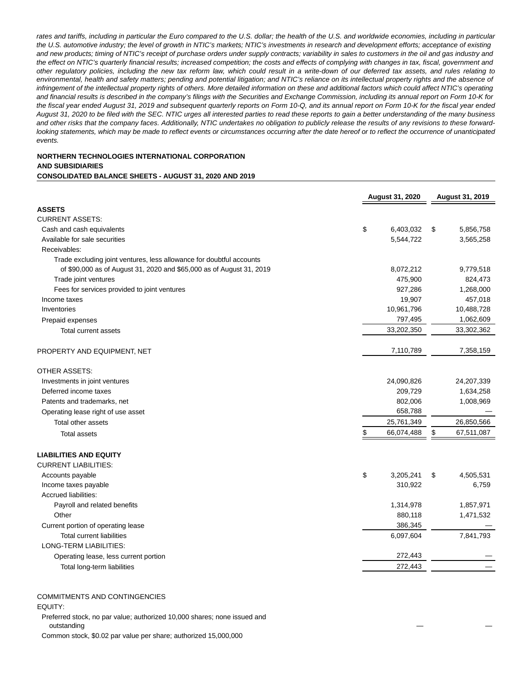rates and tariffs, including in particular the Euro compared to the U.S. dollar; the health of the U.S. and worldwide economies, including in particular the U.S. automotive industry; the level of growth in NTIC's markets; NTIC's investments in research and development efforts; acceptance of existing and new products; timing of NTIC's receipt of purchase orders under supply contracts; variability in sales to customers in the oil and gas industry and the effect on NTIC's quarterly financial results; increased competition; the costs and effects of complying with changes in tax, fiscal, government and other regulatory policies, including the new tax reform law, which could result in a write-down of our deferred tax assets, and rules relating to environmental, health and safety matters; pending and potential litigation; and NTIC's reliance on its intellectual property rights and the absence of infringement of the intellectual property rights of others. More detailed information on these and additional factors which could affect NTIC's operating and financial results is described in the company's filings with the Securities and Exchange Commission, including its annual report on Form 10-K for the fiscal year ended August 31, 2019 and subsequent quarterly reports on Form 10-Q, and its annual report on Form 10-K for the fiscal year ended August 31, 2020 to be filed with the SEC. NTIC urges all interested parties to read these reports to gain a better understanding of the many business and other risks that the company faces. Additionally, NTIC undertakes no obligation to publicly release the results of any revisions to these forwardlooking statements, which may be made to reflect events or circumstances occurring after the date hereof or to reflect the occurrence of unanticipated events.

## **NORTHERN TECHNOLOGIES INTERNATIONAL CORPORATION AND SUBSIDIARIES CONSOLIDATED BALANCE SHEETS - AUGUST 31, 2020 AND 2019**

|                                                                      | <b>August 31, 2020</b> | <b>August 31, 2019</b> |            |  |
|----------------------------------------------------------------------|------------------------|------------------------|------------|--|
| <b>ASSETS</b>                                                        |                        |                        |            |  |
| <b>CURRENT ASSETS:</b>                                               |                        |                        |            |  |
| Cash and cash equivalents                                            | \$<br>6,403,032        | \$                     | 5,856,758  |  |
| Available for sale securities                                        | 5,544,722              |                        | 3,565,258  |  |
| Receivables:                                                         |                        |                        |            |  |
| Trade excluding joint ventures, less allowance for doubtful accounts |                        |                        |            |  |
| of \$90,000 as of August 31, 2020 and \$65,000 as of August 31, 2019 | 8,072,212              |                        | 9,779,518  |  |
| Trade joint ventures                                                 | 475,900                |                        | 824,473    |  |
| Fees for services provided to joint ventures                         | 927,286                |                        | 1,268,000  |  |
| Income taxes                                                         | 19,907                 |                        | 457,018    |  |
| Inventories                                                          | 10,961,796             |                        | 10,488,728 |  |
| Prepaid expenses                                                     | 797,495                |                        | 1,062,609  |  |
| <b>Total current assets</b>                                          | 33,202,350             |                        | 33,302,362 |  |
|                                                                      |                        |                        |            |  |
| PROPERTY AND EQUIPMENT, NET                                          | 7,110,789              |                        | 7,358,159  |  |
| <b>OTHER ASSETS:</b>                                                 |                        |                        |            |  |
| Investments in joint ventures                                        | 24,090,826             |                        | 24,207,339 |  |
| Deferred income taxes                                                | 209,729                |                        | 1,634,258  |  |
| Patents and trademarks, net                                          | 802,006                |                        | 1,008,969  |  |
| Operating lease right of use asset                                   | 658,788                |                        |            |  |
| Total other assets                                                   | 25,761,349             |                        | 26,850,566 |  |
| <b>Total assets</b>                                                  | \$<br>66,074,488       | \$                     | 67,511,087 |  |
|                                                                      |                        |                        |            |  |
| <b>LIABILITIES AND EQUITY</b><br><b>CURRENT LIABILITIES:</b>         |                        |                        |            |  |
| Accounts payable                                                     | \$<br>3,205,241        | \$                     | 4,505,531  |  |
| Income taxes payable                                                 | 310,922                |                        | 6,759      |  |
| Accrued liabilities:                                                 |                        |                        |            |  |
| Payroll and related benefits                                         | 1,314,978              |                        | 1,857,971  |  |
| Other                                                                | 880,118                |                        | 1,471,532  |  |
| Current portion of operating lease                                   | 386,345                |                        |            |  |
| <b>Total current liabilities</b>                                     | 6,097,604              |                        | 7,841,793  |  |
| <b>LONG-TERM LIABILITIES:</b>                                        |                        |                        |            |  |
| Operating lease, less current portion                                | 272,443                |                        |            |  |
| Total long-term liabilities                                          | 272,443                |                        |            |  |
|                                                                      |                        |                        |            |  |

# COMMITMENTS AND CONTINGENCIES

# EQUITY:

Preferred stock, no par value; authorized 10,000 shares; none issued and outstanding  $-$ 

Common stock, \$0.02 par value per share; authorized 15,000,000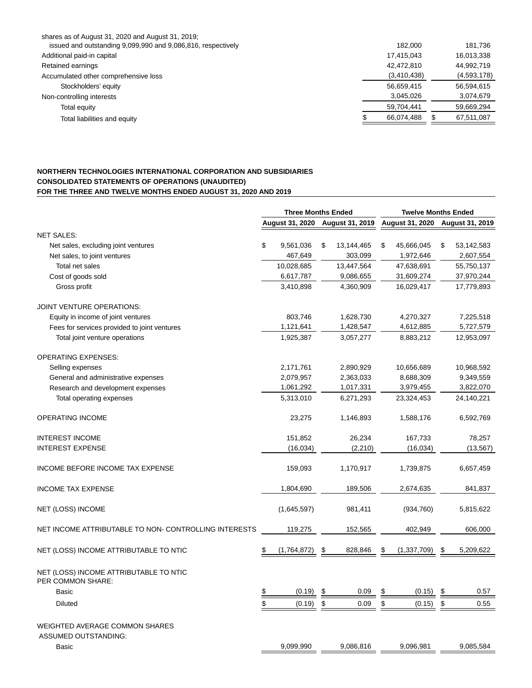| shares as of August 31, 2020 and August 31, 2019;            |             |             |
|--------------------------------------------------------------|-------------|-------------|
| issued and outstanding 9,099,990 and 9,086,816, respectively | 182.000     | 181.736     |
| Additional paid-in capital                                   | 17.415.043  | 16,013,338  |
| Retained earnings                                            | 42.472.810  | 44,992,719  |
| Accumulated other comprehensive loss                         | (3,410,438) | (4,593,178) |
| Stockholders' equity                                         | 56,659,415  | 56,594,615  |
| Non-controlling interests                                    | 3,045,026   | 3,074,679   |
| Total equity                                                 | 59.704.441  | 59,669,294  |
| Total liabilities and equity                                 | 66,074,488  | 67,511,087  |
|                                                              |             |             |

## **NORTHERN TECHNOLOGIES INTERNATIONAL CORPORATION AND SUBSIDIARIES CONSOLIDATED STATEMENTS OF OPERATIONS (UNAUDITED) FOR THE THREE AND TWELVE MONTHS ENDED AUGUST 31, 2020 AND 2019**

| <b>August 31, 2020</b><br><b>August 31, 2020</b><br><b>August 31, 2019</b><br><b>August 31, 2019</b><br><b>NET SALES:</b><br>Net sales, excluding joint ventures<br>\$<br>9,561,036<br>\$<br>13,144,465<br>\$<br>45,666,045<br>\$<br>53,142,583<br>467,649<br>1,972,646<br>303,099<br>2,607,554<br>Net sales, to joint ventures<br>10,028,685<br>13,447,564<br>47,638,691<br>55,750,137<br>Total net sales<br>6,617,787<br>9,086,655<br>31,609,274<br>37,970,244<br>Cost of goods sold<br>3,410,898<br>4,360,909<br>16,029,417<br>17,779,893<br>Gross profit<br>JOINT VENTURE OPERATIONS:<br>Equity in income of joint ventures<br>803,746<br>1,628,730<br>4,270,327<br>7,225,518<br>1,121,641<br>5,727,579<br>Fees for services provided to joint ventures<br>1,428,547<br>4,612,885<br>1,925,387<br>8,883,212<br>12,953,097<br>Total joint venture operations<br>3,057,277<br><b>OPERATING EXPENSES:</b><br>10,968,592<br>Selling expenses<br>2,171,761<br>2,890,929<br>10,656,689<br>2,079,957<br>2,363,033<br>8,688,309<br>9,349,559<br>General and administrative expenses<br>1,017,331<br>3,979,455<br>3,822,070<br>1,061,292<br>Research and development expenses<br>5,313,010<br>6,271,293<br>23,324,453<br>24,140,221<br>Total operating expenses<br>OPERATING INCOME<br>23,275<br>1,146,893<br>1,588,176<br>6,592,769<br><b>INTEREST INCOME</b><br>151,852<br>26,234<br>167,733<br>78,257<br><b>INTEREST EXPENSE</b><br>(16, 034)<br>(2,210)<br>(16,034)<br>(13, 567)<br>INCOME BEFORE INCOME TAX EXPENSE<br>159,093<br>1,170,917<br>1,739,875<br>6,657,459<br>1,804,690<br>189,506<br>2,674,635<br>841,837<br><b>INCOME TAX EXPENSE</b><br>NET (LOSS) INCOME<br>(1,645,597)<br>981,411<br>(934, 760)<br>5,815,622<br>119,275<br>152,565<br>402,949<br>606,000<br>NET INCOME ATTRIBUTABLE TO NON- CONTROLLING INTERESTS<br>5,209,622<br>(1,764,872)<br>828,846<br>\$<br>(1,337,709)<br>\$<br>NET (LOSS) INCOME ATTRIBUTABLE TO NTIC<br>\$<br>\$<br>NET (LOSS) INCOME ATTRIBUTABLE TO NTIC<br>PER COMMON SHARE:<br>(0.19)<br>0.09<br>\$<br>(0.15)<br>0.57<br>\$<br>\$<br>$\overline{v}$<br>Basic<br>\$<br>\$<br>(0.19)<br>\$<br>0.09<br>(0.15)<br>\$<br><b>Diluted</b><br>0.55<br>WEIGHTED AVERAGE COMMON SHARES<br>ASSUMED OUTSTANDING:<br>9,099,990<br>9,086,816<br>9,096,981<br>9,085,584<br><b>Basic</b> | <b>Three Months Ended</b> |  |  | <b>Twelve Months Ended</b> |  |  |  |
|-----------------------------------------------------------------------------------------------------------------------------------------------------------------------------------------------------------------------------------------------------------------------------------------------------------------------------------------------------------------------------------------------------------------------------------------------------------------------------------------------------------------------------------------------------------------------------------------------------------------------------------------------------------------------------------------------------------------------------------------------------------------------------------------------------------------------------------------------------------------------------------------------------------------------------------------------------------------------------------------------------------------------------------------------------------------------------------------------------------------------------------------------------------------------------------------------------------------------------------------------------------------------------------------------------------------------------------------------------------------------------------------------------------------------------------------------------------------------------------------------------------------------------------------------------------------------------------------------------------------------------------------------------------------------------------------------------------------------------------------------------------------------------------------------------------------------------------------------------------------------------------------------------------------------------------------------------------------------------------------------------------------------------------------------------------------------------------------------------------------------------------------------------------------------------------------------------------------------------------------------------------------------------------------------------------------------|---------------------------|--|--|----------------------------|--|--|--|
|                                                                                                                                                                                                                                                                                                                                                                                                                                                                                                                                                                                                                                                                                                                                                                                                                                                                                                                                                                                                                                                                                                                                                                                                                                                                                                                                                                                                                                                                                                                                                                                                                                                                                                                                                                                                                                                                                                                                                                                                                                                                                                                                                                                                                                                                                                                       |                           |  |  |                            |  |  |  |
|                                                                                                                                                                                                                                                                                                                                                                                                                                                                                                                                                                                                                                                                                                                                                                                                                                                                                                                                                                                                                                                                                                                                                                                                                                                                                                                                                                                                                                                                                                                                                                                                                                                                                                                                                                                                                                                                                                                                                                                                                                                                                                                                                                                                                                                                                                                       |                           |  |  |                            |  |  |  |
|                                                                                                                                                                                                                                                                                                                                                                                                                                                                                                                                                                                                                                                                                                                                                                                                                                                                                                                                                                                                                                                                                                                                                                                                                                                                                                                                                                                                                                                                                                                                                                                                                                                                                                                                                                                                                                                                                                                                                                                                                                                                                                                                                                                                                                                                                                                       |                           |  |  |                            |  |  |  |
|                                                                                                                                                                                                                                                                                                                                                                                                                                                                                                                                                                                                                                                                                                                                                                                                                                                                                                                                                                                                                                                                                                                                                                                                                                                                                                                                                                                                                                                                                                                                                                                                                                                                                                                                                                                                                                                                                                                                                                                                                                                                                                                                                                                                                                                                                                                       |                           |  |  |                            |  |  |  |
|                                                                                                                                                                                                                                                                                                                                                                                                                                                                                                                                                                                                                                                                                                                                                                                                                                                                                                                                                                                                                                                                                                                                                                                                                                                                                                                                                                                                                                                                                                                                                                                                                                                                                                                                                                                                                                                                                                                                                                                                                                                                                                                                                                                                                                                                                                                       |                           |  |  |                            |  |  |  |
|                                                                                                                                                                                                                                                                                                                                                                                                                                                                                                                                                                                                                                                                                                                                                                                                                                                                                                                                                                                                                                                                                                                                                                                                                                                                                                                                                                                                                                                                                                                                                                                                                                                                                                                                                                                                                                                                                                                                                                                                                                                                                                                                                                                                                                                                                                                       |                           |  |  |                            |  |  |  |
|                                                                                                                                                                                                                                                                                                                                                                                                                                                                                                                                                                                                                                                                                                                                                                                                                                                                                                                                                                                                                                                                                                                                                                                                                                                                                                                                                                                                                                                                                                                                                                                                                                                                                                                                                                                                                                                                                                                                                                                                                                                                                                                                                                                                                                                                                                                       |                           |  |  |                            |  |  |  |
|                                                                                                                                                                                                                                                                                                                                                                                                                                                                                                                                                                                                                                                                                                                                                                                                                                                                                                                                                                                                                                                                                                                                                                                                                                                                                                                                                                                                                                                                                                                                                                                                                                                                                                                                                                                                                                                                                                                                                                                                                                                                                                                                                                                                                                                                                                                       |                           |  |  |                            |  |  |  |
|                                                                                                                                                                                                                                                                                                                                                                                                                                                                                                                                                                                                                                                                                                                                                                                                                                                                                                                                                                                                                                                                                                                                                                                                                                                                                                                                                                                                                                                                                                                                                                                                                                                                                                                                                                                                                                                                                                                                                                                                                                                                                                                                                                                                                                                                                                                       |                           |  |  |                            |  |  |  |
|                                                                                                                                                                                                                                                                                                                                                                                                                                                                                                                                                                                                                                                                                                                                                                                                                                                                                                                                                                                                                                                                                                                                                                                                                                                                                                                                                                                                                                                                                                                                                                                                                                                                                                                                                                                                                                                                                                                                                                                                                                                                                                                                                                                                                                                                                                                       |                           |  |  |                            |  |  |  |
|                                                                                                                                                                                                                                                                                                                                                                                                                                                                                                                                                                                                                                                                                                                                                                                                                                                                                                                                                                                                                                                                                                                                                                                                                                                                                                                                                                                                                                                                                                                                                                                                                                                                                                                                                                                                                                                                                                                                                                                                                                                                                                                                                                                                                                                                                                                       |                           |  |  |                            |  |  |  |
|                                                                                                                                                                                                                                                                                                                                                                                                                                                                                                                                                                                                                                                                                                                                                                                                                                                                                                                                                                                                                                                                                                                                                                                                                                                                                                                                                                                                                                                                                                                                                                                                                                                                                                                                                                                                                                                                                                                                                                                                                                                                                                                                                                                                                                                                                                                       |                           |  |  |                            |  |  |  |
|                                                                                                                                                                                                                                                                                                                                                                                                                                                                                                                                                                                                                                                                                                                                                                                                                                                                                                                                                                                                                                                                                                                                                                                                                                                                                                                                                                                                                                                                                                                                                                                                                                                                                                                                                                                                                                                                                                                                                                                                                                                                                                                                                                                                                                                                                                                       |                           |  |  |                            |  |  |  |
|                                                                                                                                                                                                                                                                                                                                                                                                                                                                                                                                                                                                                                                                                                                                                                                                                                                                                                                                                                                                                                                                                                                                                                                                                                                                                                                                                                                                                                                                                                                                                                                                                                                                                                                                                                                                                                                                                                                                                                                                                                                                                                                                                                                                                                                                                                                       |                           |  |  |                            |  |  |  |
|                                                                                                                                                                                                                                                                                                                                                                                                                                                                                                                                                                                                                                                                                                                                                                                                                                                                                                                                                                                                                                                                                                                                                                                                                                                                                                                                                                                                                                                                                                                                                                                                                                                                                                                                                                                                                                                                                                                                                                                                                                                                                                                                                                                                                                                                                                                       |                           |  |  |                            |  |  |  |
|                                                                                                                                                                                                                                                                                                                                                                                                                                                                                                                                                                                                                                                                                                                                                                                                                                                                                                                                                                                                                                                                                                                                                                                                                                                                                                                                                                                                                                                                                                                                                                                                                                                                                                                                                                                                                                                                                                                                                                                                                                                                                                                                                                                                                                                                                                                       |                           |  |  |                            |  |  |  |
|                                                                                                                                                                                                                                                                                                                                                                                                                                                                                                                                                                                                                                                                                                                                                                                                                                                                                                                                                                                                                                                                                                                                                                                                                                                                                                                                                                                                                                                                                                                                                                                                                                                                                                                                                                                                                                                                                                                                                                                                                                                                                                                                                                                                                                                                                                                       |                           |  |  |                            |  |  |  |
|                                                                                                                                                                                                                                                                                                                                                                                                                                                                                                                                                                                                                                                                                                                                                                                                                                                                                                                                                                                                                                                                                                                                                                                                                                                                                                                                                                                                                                                                                                                                                                                                                                                                                                                                                                                                                                                                                                                                                                                                                                                                                                                                                                                                                                                                                                                       |                           |  |  |                            |  |  |  |
|                                                                                                                                                                                                                                                                                                                                                                                                                                                                                                                                                                                                                                                                                                                                                                                                                                                                                                                                                                                                                                                                                                                                                                                                                                                                                                                                                                                                                                                                                                                                                                                                                                                                                                                                                                                                                                                                                                                                                                                                                                                                                                                                                                                                                                                                                                                       |                           |  |  |                            |  |  |  |
|                                                                                                                                                                                                                                                                                                                                                                                                                                                                                                                                                                                                                                                                                                                                                                                                                                                                                                                                                                                                                                                                                                                                                                                                                                                                                                                                                                                                                                                                                                                                                                                                                                                                                                                                                                                                                                                                                                                                                                                                                                                                                                                                                                                                                                                                                                                       |                           |  |  |                            |  |  |  |
|                                                                                                                                                                                                                                                                                                                                                                                                                                                                                                                                                                                                                                                                                                                                                                                                                                                                                                                                                                                                                                                                                                                                                                                                                                                                                                                                                                                                                                                                                                                                                                                                                                                                                                                                                                                                                                                                                                                                                                                                                                                                                                                                                                                                                                                                                                                       |                           |  |  |                            |  |  |  |
|                                                                                                                                                                                                                                                                                                                                                                                                                                                                                                                                                                                                                                                                                                                                                                                                                                                                                                                                                                                                                                                                                                                                                                                                                                                                                                                                                                                                                                                                                                                                                                                                                                                                                                                                                                                                                                                                                                                                                                                                                                                                                                                                                                                                                                                                                                                       |                           |  |  |                            |  |  |  |
|                                                                                                                                                                                                                                                                                                                                                                                                                                                                                                                                                                                                                                                                                                                                                                                                                                                                                                                                                                                                                                                                                                                                                                                                                                                                                                                                                                                                                                                                                                                                                                                                                                                                                                                                                                                                                                                                                                                                                                                                                                                                                                                                                                                                                                                                                                                       |                           |  |  |                            |  |  |  |
|                                                                                                                                                                                                                                                                                                                                                                                                                                                                                                                                                                                                                                                                                                                                                                                                                                                                                                                                                                                                                                                                                                                                                                                                                                                                                                                                                                                                                                                                                                                                                                                                                                                                                                                                                                                                                                                                                                                                                                                                                                                                                                                                                                                                                                                                                                                       |                           |  |  |                            |  |  |  |
|                                                                                                                                                                                                                                                                                                                                                                                                                                                                                                                                                                                                                                                                                                                                                                                                                                                                                                                                                                                                                                                                                                                                                                                                                                                                                                                                                                                                                                                                                                                                                                                                                                                                                                                                                                                                                                                                                                                                                                                                                                                                                                                                                                                                                                                                                                                       |                           |  |  |                            |  |  |  |
|                                                                                                                                                                                                                                                                                                                                                                                                                                                                                                                                                                                                                                                                                                                                                                                                                                                                                                                                                                                                                                                                                                                                                                                                                                                                                                                                                                                                                                                                                                                                                                                                                                                                                                                                                                                                                                                                                                                                                                                                                                                                                                                                                                                                                                                                                                                       |                           |  |  |                            |  |  |  |
|                                                                                                                                                                                                                                                                                                                                                                                                                                                                                                                                                                                                                                                                                                                                                                                                                                                                                                                                                                                                                                                                                                                                                                                                                                                                                                                                                                                                                                                                                                                                                                                                                                                                                                                                                                                                                                                                                                                                                                                                                                                                                                                                                                                                                                                                                                                       |                           |  |  |                            |  |  |  |
|                                                                                                                                                                                                                                                                                                                                                                                                                                                                                                                                                                                                                                                                                                                                                                                                                                                                                                                                                                                                                                                                                                                                                                                                                                                                                                                                                                                                                                                                                                                                                                                                                                                                                                                                                                                                                                                                                                                                                                                                                                                                                                                                                                                                                                                                                                                       |                           |  |  |                            |  |  |  |
|                                                                                                                                                                                                                                                                                                                                                                                                                                                                                                                                                                                                                                                                                                                                                                                                                                                                                                                                                                                                                                                                                                                                                                                                                                                                                                                                                                                                                                                                                                                                                                                                                                                                                                                                                                                                                                                                                                                                                                                                                                                                                                                                                                                                                                                                                                                       |                           |  |  |                            |  |  |  |
|                                                                                                                                                                                                                                                                                                                                                                                                                                                                                                                                                                                                                                                                                                                                                                                                                                                                                                                                                                                                                                                                                                                                                                                                                                                                                                                                                                                                                                                                                                                                                                                                                                                                                                                                                                                                                                                                                                                                                                                                                                                                                                                                                                                                                                                                                                                       |                           |  |  |                            |  |  |  |